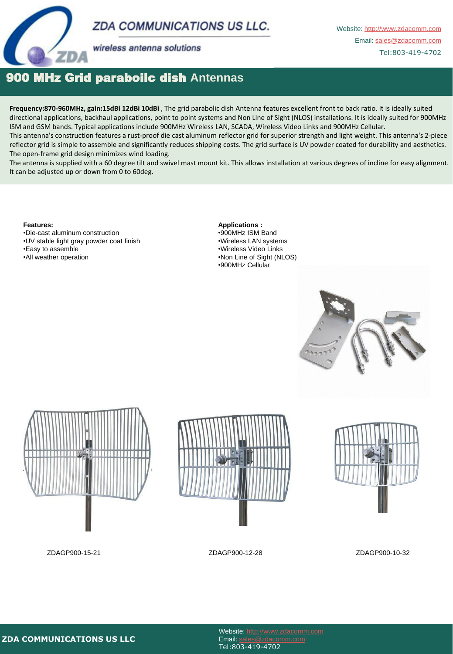



wireless antenna solutions

## 900 MHz Grid paraboilc dish **Antennas**

**Frequency:870-960MHz, gain:15dBi 12dBi 10dBi** , The grid parabolic dish Antenna features excellent front to back ratio. It is ideally suited directional applications, backhaul applications, point to point systems and Non Line of Sight (NLOS) installations. It is ideally suited for 900MHz ISM and GSM bands. Typical applications include 900MHz Wireless LAN, SCADA, Wireless Video Links and 900MHz Cellular.

This antenna's construction features a rust-proof die cast aluminum reflector grid for superior strength and light weight. This antenna's 2-piece reflector grid is simple to assemble and significantly reduces shipping costs. The grid surface is UV powder coated for durability and aesthetics. The open-frame grid design minimizes wind loading.

The antenna is supplied with a 60 degree tilt and swivel mast mount kit. This allows installation at various degrees of incline for easy alignment. It can be adjusted up or down from 0 to 60deg.

#### **Features:**

•Die-cast aluminum construction •UV stable light gray powder coat finish •Easy to assemble •All weather operation

**Applications :** •900MHz ISM Band •Wireless LAN systems •Wireless Video Links •Non Line of Sight (NLOS) •900MHz Cellular











### Website: http://www.zdacomm.com Email: sales@zdacomm.com Tel:803-419-4702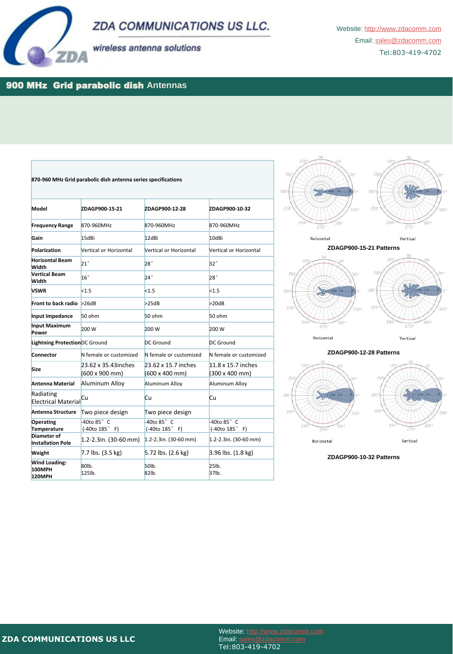



wireless antenna solutions

Website: http://www.zdacomm.com Email: sales@zdacomm.com Tel:803-419-4702

### 900 MHz Grid parabolic dish **Antennas**

| 870-960 MHz Grid parabolic dish antenna series specifications |                                           |                                           |                                      |
|---------------------------------------------------------------|-------------------------------------------|-------------------------------------------|--------------------------------------|
| Model                                                         | ZDAGP900-15-21                            | ZDAGP900-12-28                            | ZDAGP900-10-32                       |
| <b>Frequency Range</b>                                        | 870-960MHz                                | 870-960MHz                                | 870-960MHz                           |
| Gain                                                          | 15dBi                                     | 12dBi                                     | 10dBi                                |
| Polarization                                                  | Vertical or Horizontal                    | Vertical or Horizontal                    | Vertical or Horizontal               |
| <b>Horizontal Beam</b><br><b>Width</b>                        | $21^{\circ}$                              | $28^\circ$                                | $32^{\circ}$                         |
| <b>Vertical Beam</b><br><b>Width</b>                          | $16^{\circ}$                              | $24^\circ$                                | $28^\circ$                           |
| <b>VSWR</b>                                                   | < 1.5                                     | < 1.5                                     | < 1.5                                |
| Front to back radio $>26dB$                                   |                                           | >25dB                                     | >20dB                                |
| Input Impedance                                               | 50 ohm                                    | 50 ohm                                    | 50 ohm                               |
| <b>Input Maximum</b><br>Power                                 | 200 W                                     | 200 W                                     | 200 W                                |
| Lightning ProtectionDC Ground                                 |                                           | DC Ground                                 | DC Ground                            |
| <b>Connector</b>                                              | N female or customized                    | N female or customized                    | N female or customized               |
| <b>Size</b>                                                   | 23.62 x 35.43 inches<br>(600 x 900 mm)    | 23.62 x 15.7 inches<br>(600 x 400 mm)     | 11.8 x 15.7 inches<br>(300 x 400 mm) |
| <b>Antenna Material</b>                                       | Aluminum Alloy                            | Aluminum Alloy                            | Aluminum Alloy                       |
| Radiating<br><b>Electrical Material</b>                       | <b>Cu</b>                                 | <b>Cu</b>                                 | <b>Cu</b>                            |
| <b>Antenna Structure</b>                                      | Two piece design                          | Two piece design                          |                                      |
| <b>Operating</b><br>Temperature                               | $-40t$ o $85^\circ$ C<br>$(-40t0 185° F)$ | $-40t$ o $85^\circ$ C<br>$(-40t0 185° F)$ | -40to 85° C<br>$(-40t0 185° F)$      |
| Diameter of<br><b>Installation Pole</b>                       | $1.2 - 2.3$ in. (30-60 mm)                | $1.2 - 2.3$ in. (30-60 mm)                | $1.2 - 2.3$ in. (30-60 mm)           |
| Weight                                                        | 7.7 lbs. (3.5 kg)                         | 5.72 lbs. (2.6 kg)                        | 3.96 lbs. (1.8 kg)                   |
| <b>Wind Loading:</b><br>100MPH<br>120MPH                      | 80lb.<br>125lb.                           | 50 <sub>Ib</sub><br>82lb.                 | $25$ lb.<br>37lb.                    |









**ZDAGP900-10-32 Patterns**